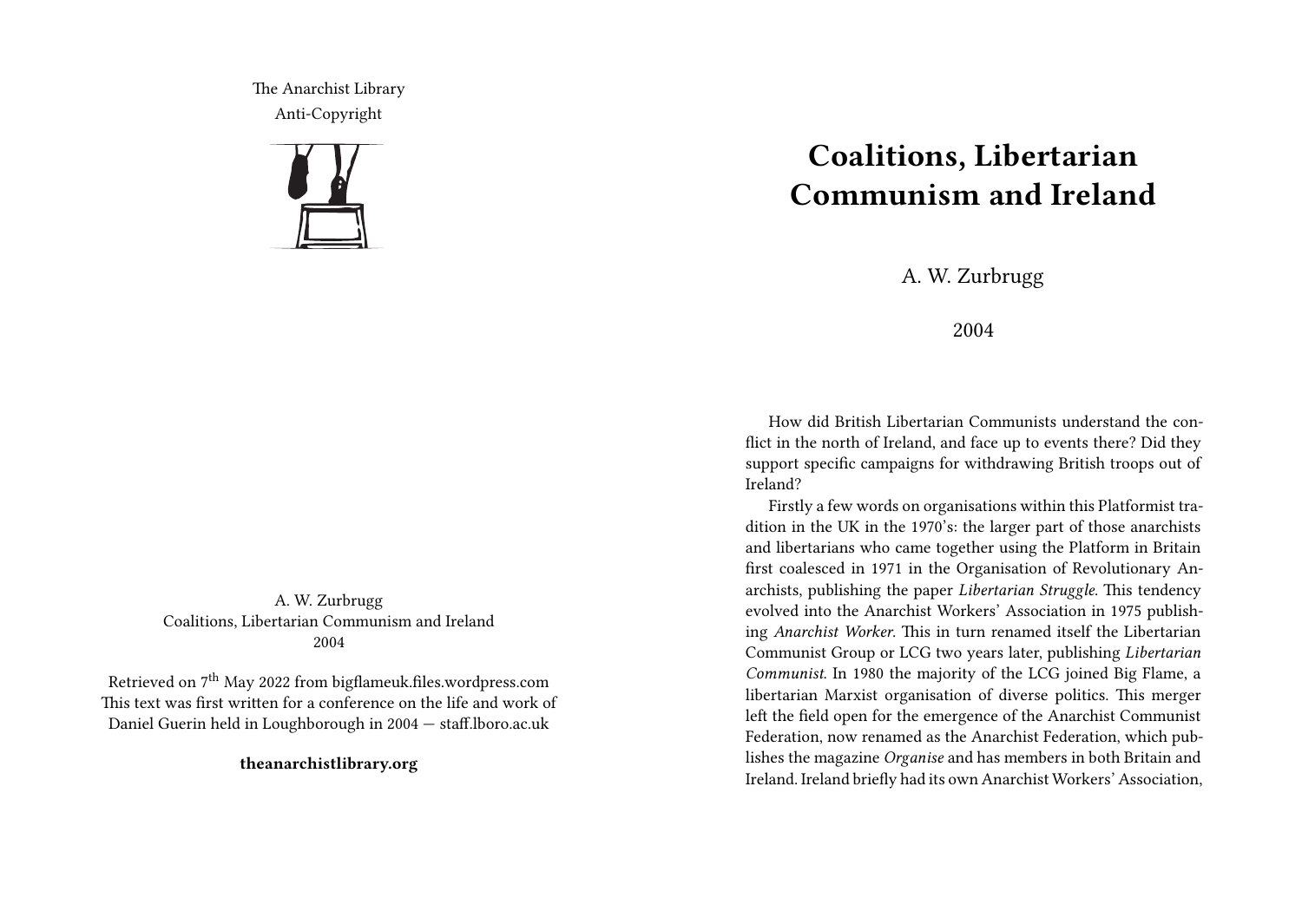The Anarchist Library Anti-Copyright



A. W. Zurbrugg Coalitions, Libertarian Communism and Ireland 2004

Retrieved on 7th May 2022 from bigflameuk.files.wordpress.com This text was first written for a conference on the life and work of Daniel Guerin held in Loughborough in 2004 — staff.lboro.ac.uk

**theanarchistlibrary.org**

## **Coalitions, Libertarian Communism and Ireland**

A. W. Zurbrugg

2004

How did British Libertarian Communists understand the conflict in the north of Ireland, and face up to events there? Did they support specific campaigns for withdrawing British troops out of Ireland?

Firstly a few words on organisations within this Platformist tradition in the UK in the 1970's: the larger part of those anarchists and libertarians who came together using the Platform in Britain first coalesced in 1971 in the Organisation of Revolutionary Anarchists, publishing the paper *Libertarian Struggle*. This tendency evolved into the Anarchist Workers' Association in 1975 publishing *Anarchist Worker*. This in turn renamed itself the Libertarian Communist Group or LCG two years later, publishing *Libertarian Communist*. In 1980 the majority of the LCG joined Big Flame, a libertarian Marxist organisation of diverse politics. This merger left the field open for the emergence of the Anarchist Communist Federation, now renamed as the Anarchist Federation, which publishes the magazine *Organise* and has members in both Britain and Ireland. Ireland briefly had its own Anarchist Workers' Association,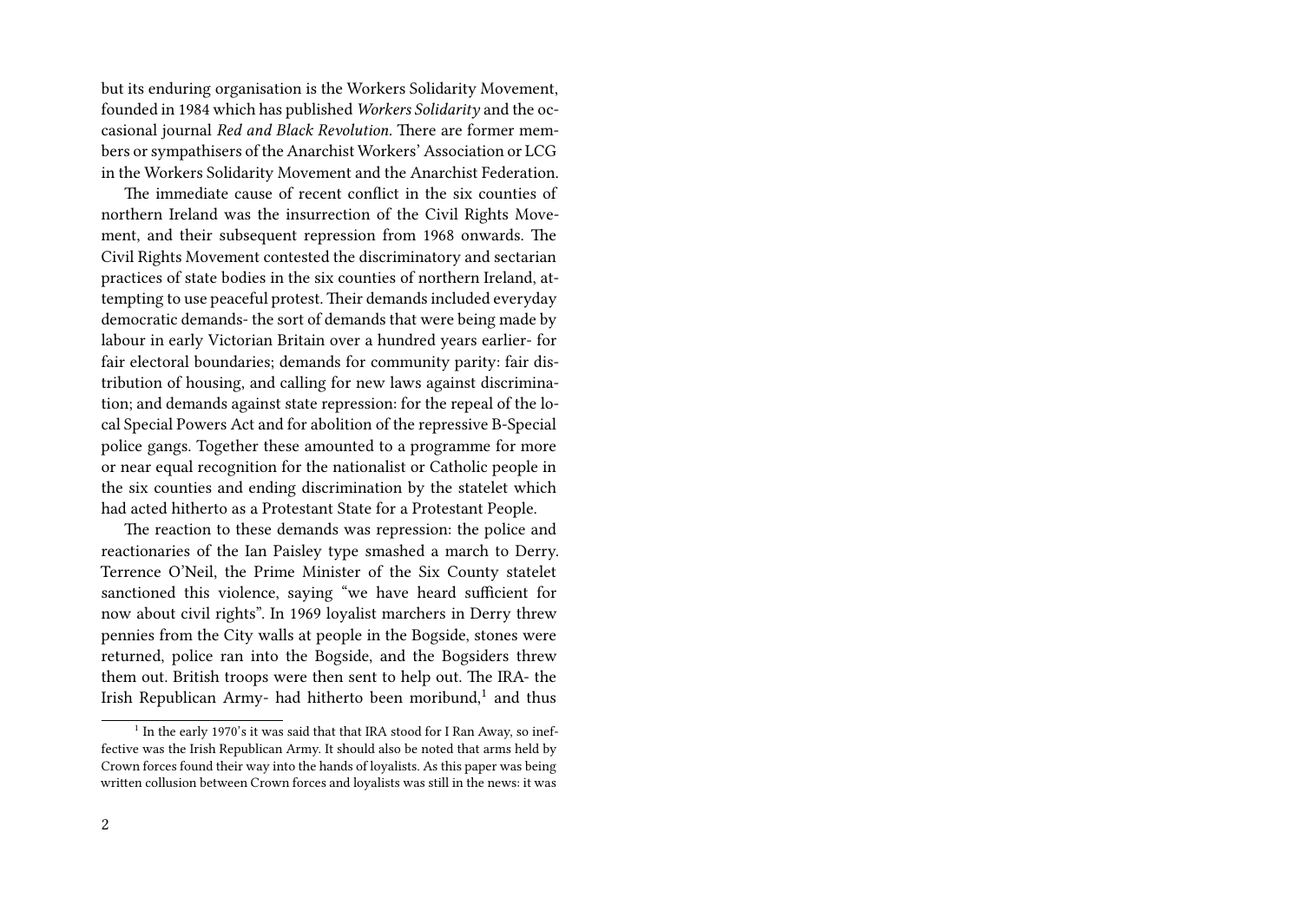but its enduring organisation is the Workers Solidarity Movement, founded in 1984 which has published *Workers Solidarity* and the occasional journal *Red and Black Revolution.* There are former members or sympathisers of the Anarchist Workers' Association or LCG in the Workers Solidarity Movement and the Anarchist Federation.

The immediate cause of recent conflict in the six counties of northern Ireland was the insurrection of the Civil Rights Movement, and their subsequent repression from 1968 onwards. The Civil Rights Movement contested the discriminatory and sectarian practices of state bodies in the six counties of northern Ireland, attempting to use peaceful protest. Their demands included everyday democratic demands- the sort of demands that were being made by labour in early Victorian Britain over a hundred years earlier- for fair electoral boundaries; demands for community parity: fair distribution of housing, and calling for new laws against discrimination; and demands against state repression: for the repeal of the local Special Powers Act and for abolition of the repressive B-Special police gangs. Together these amounted to a programme for more or near equal recognition for the nationalist or Catholic people in the six counties and ending discrimination by the statelet which had acted hitherto as a Protestant State for a Protestant People.

The reaction to these demands was repression: the police and reactionaries of the Ian Paisley type smashed a march to Derry. Terrence O'Neil, the Prime Minister of the Six County statelet sanctioned this violence, saying "we have heard sufficient for now about civil rights". In 1969 loyalist marchers in Derry threw pennies from the City walls at people in the Bogside, stones were returned, police ran into the Bogside, and the Bogsiders threw them out. British troops were then sent to help out. The IRA- the Irish Republican Army- had hitherto been moribund, $^1$  and thus

 $1$  In the early 1970's it was said that that IRA stood for I Ran Away, so ineffective was the Irish Republican Army. It should also be noted that arms held by Crown forces found their way into the hands of loyalists. As this paper was being written collusion between Crown forces and loyalists was still in the news: it was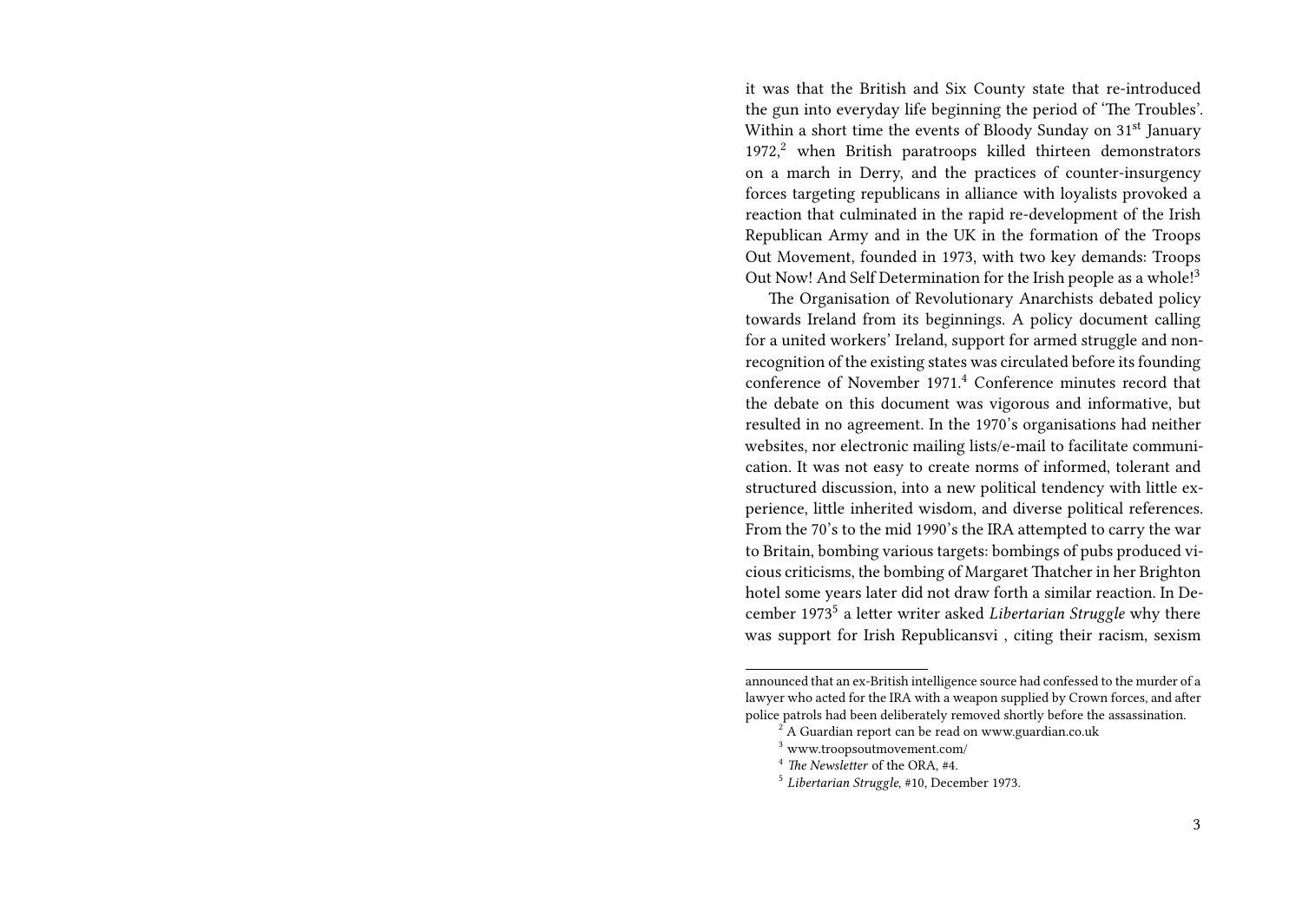it was that the British and Six County state that re-introduced the gun into everyday life beginning the period of 'The Troubles'. Within a short time the events of Bloody Sunday on 31<sup>st</sup> January  $1972$ ,<sup>2</sup> when British paratroops killed thirteen demonstrators on a march in Derry, and the practices of counter-insurgency forces targeting republicans in alliance with loyalists provoked a reaction that culminated in the rapid re-development of the Irish Republican Army and in the UK in the formation of the Troops Out Movement, founded in 1973, with two key demands: Troops Out Now! And Self Determination for the Irish people as a whole!<sup>3</sup>

The Organisation of Revolutionary Anarchists debated policy towards Ireland from its beginnings. A policy document calling for a united workers' Ireland, support for armed struggle and nonrecognition of the existing states was circulated before its founding conference of November 1971.<sup>4</sup> Conference minutes record that the debate on this document was vigorous and informative, but resulted in no agreement. In the 1970's organisations had neither websites, nor electronic mailing lists/e-mail to facilitate communication. It was not easy to create norms of informed, tolerant and structured discussion, into a new political tendency with little experience, little inherited wisdom, and diverse political references. From the 70's to the mid 1990's the IRA attempted to carry the war to Britain, bombing various targets: bombings of pubs produced vicious criticisms, the bombing of Margaret Thatcher in her Brighton hotel some years later did not draw forth a similar reaction. In December 1973<sup>5</sup> a letter writer asked *Libertarian Struggle* why there was support for Irish Republicansvi , citing their racism, sexism

announced that an ex-British intelligence source had confessed to the murder of a lawyer who acted for the IRA with a weapon supplied by Crown forces, and after police patrols had been deliberately removed shortly before the assassination.

<sup>2</sup> A Guardian report can be read on www.guardian.co.uk

<sup>3</sup> www.troopsoutmovement.com/

<sup>4</sup> *The Newsletter* of the ORA, #4.

<sup>5</sup> *Libertarian Struggle*, #10, December 1973.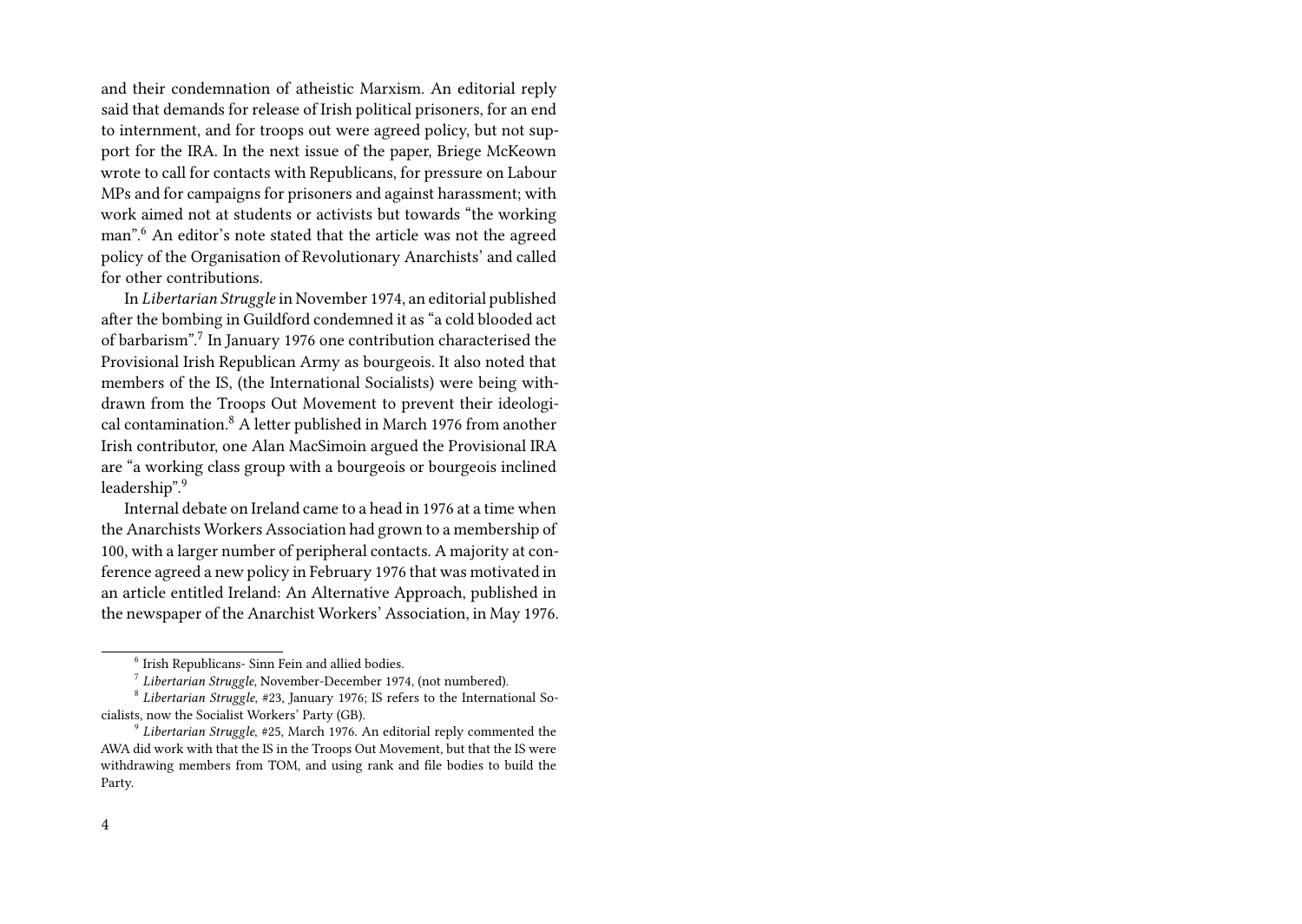and their condemnation of atheistic Marxism. An editorial reply said that demands for release of Irish political prisoners, for an end to internment, and for troops out were agreed policy, but not support for the IRA. In the next issue of the paper, Briege McKeown wrote to call for contacts with Republicans, for pressure on Labour MPs and for campaigns for prisoners and against harassment; with work aimed not at students or activists but towards "the working man".<sup>6</sup> An editor's note stated that the article was not the agreed policy of the Organisation of Revolutionary Anarchists' and called for other contributions.

In *Libertarian Struggle* in November 1974, an editorial published after the bombing in Guildford condemned it as "a cold blooded act of barbarism".<sup>7</sup> In January 1976 one contribution characterised the Provisional Irish Republican Army as bourgeois. It also noted that members of the IS, (the International Socialists) were being withdrawn from the Troops Out Movement to prevent their ideological contamination.<sup>8</sup> A letter published in March 1976 from another Irish contributor, one Alan MacSimoin argued the Provisional IRA are "a working class group with a bourgeois or bourgeois inclined leadership".<sup>9</sup>

Internal debate on Ireland came to a head in 1976 at a time when the Anarchists Workers Association had grown to a membership of 100, with a larger number of peripheral contacts. A majority at conference agreed a new policy in February 1976 that was motivated in an article entitled Ireland: An Alternative Approach, published in the newspaper of the Anarchist Workers' Association, in May 1976.

 $6$  Irish Republicans- Sinn Fein and allied bodies.

<sup>7</sup> *Libertarian Struggle*, November-December 1974, (not numbered).

<sup>8</sup> *Libertarian Struggle*, #23, January 1976; IS refers to the International Socialists, now the Socialist Workers' Party (GB).

<sup>9</sup> *Libertarian Struggle*, #25, March 1976. An editorial reply commented the AWA did work with that the IS in the Troops Out Movement, but that the IS were withdrawing members from TOM, and using rank and file bodies to build the Party.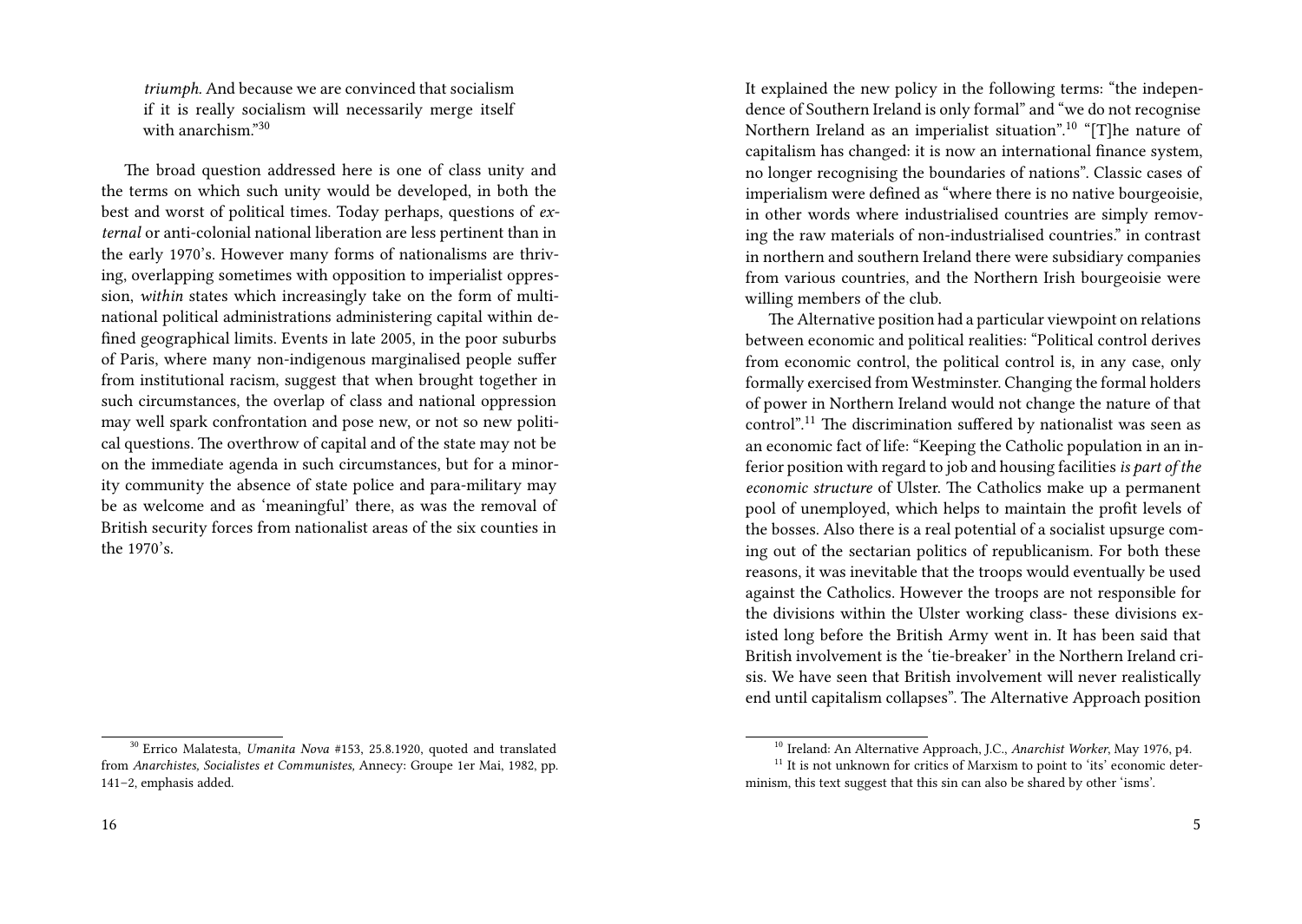*triumph.* And because we are convinced that socialism if it is really socialism will necessarily merge itself with anarchism."<sup>30</sup>

The broad question addressed here is one of class unity and the terms on which such unity would be developed, in both the best and worst of political times. Today perhaps, questions of *external* or anti-colonial national liberation are less pertinent than in the early 1970's. However many forms of nationalisms are thriving, overlapping sometimes with opposition to imperialist oppression, *within* states which increasingly take on the form of multinational political administrations administering capital within defined geographical limits. Events in late 2005, in the poor suburbs of Paris, where many non-indigenous marginalised people suffer from institutional racism, suggest that when brought together in such circumstances, the overlap of class and national oppression may well spark confrontation and pose new, or not so new political questions. The overthrow of capital and of the state may not be on the immediate agenda in such circumstances, but for a minority community the absence of state police and para-military may be as welcome and as 'meaningful' there, as was the removal of British security forces from nationalist areas of the six counties in the 1970's.

It explained the new policy in the following terms: "the independence of Southern Ireland is only formal" and "we do not recognise Northern Ireland as an imperialist situation".<sup>10</sup> "[T]he nature of capitalism has changed: it is now an international finance system, no longer recognising the boundaries of nations". Classic cases of imperialism were defined as "where there is no native bourgeoisie, in other words where industrialised countries are simply removing the raw materials of non-industrialised countries." in contrast in northern and southern Ireland there were subsidiary companies from various countries, and the Northern Irish bourgeoisie were willing members of the club.

The Alternative position had a particular viewpoint on relations between economic and political realities: "Political control derives from economic control, the political control is, in any case, only formally exercised from Westminster. Changing the formal holders of power in Northern Ireland would not change the nature of that control".<sup>11</sup> The discrimination suffered by nationalist was seen as an economic fact of life: "Keeping the Catholic population in an inferior position with regard to job and housing facilities*is part of the economic structure* of Ulster. The Catholics make up a permanent pool of unemployed, which helps to maintain the profit levels of the bosses. Also there is a real potential of a socialist upsurge coming out of the sectarian politics of republicanism. For both these reasons, it was inevitable that the troops would eventually be used against the Catholics. However the troops are not responsible for the divisions within the Ulster working class- these divisions existed long before the British Army went in. It has been said that British involvement is the 'tie-breaker' in the Northern Ireland crisis. We have seen that British involvement will never realistically end until capitalism collapses". The Alternative Approach position

<sup>30</sup> Errico Malatesta, *Umanita Nova* #153, 25.8.1920, quoted and translated from *Anarchistes, Socialistes et Communistes,* Annecy: Groupe 1er Mai, 1982, pp. 141–2, emphasis added.

<sup>10</sup> Ireland: An Alternative Approach, J.C., *Anarchist Worker*, May 1976, p4.

 $11$  It is not unknown for critics of Marxism to point to 'its' economic determinism, this text suggest that this sin can also be shared by other 'isms'.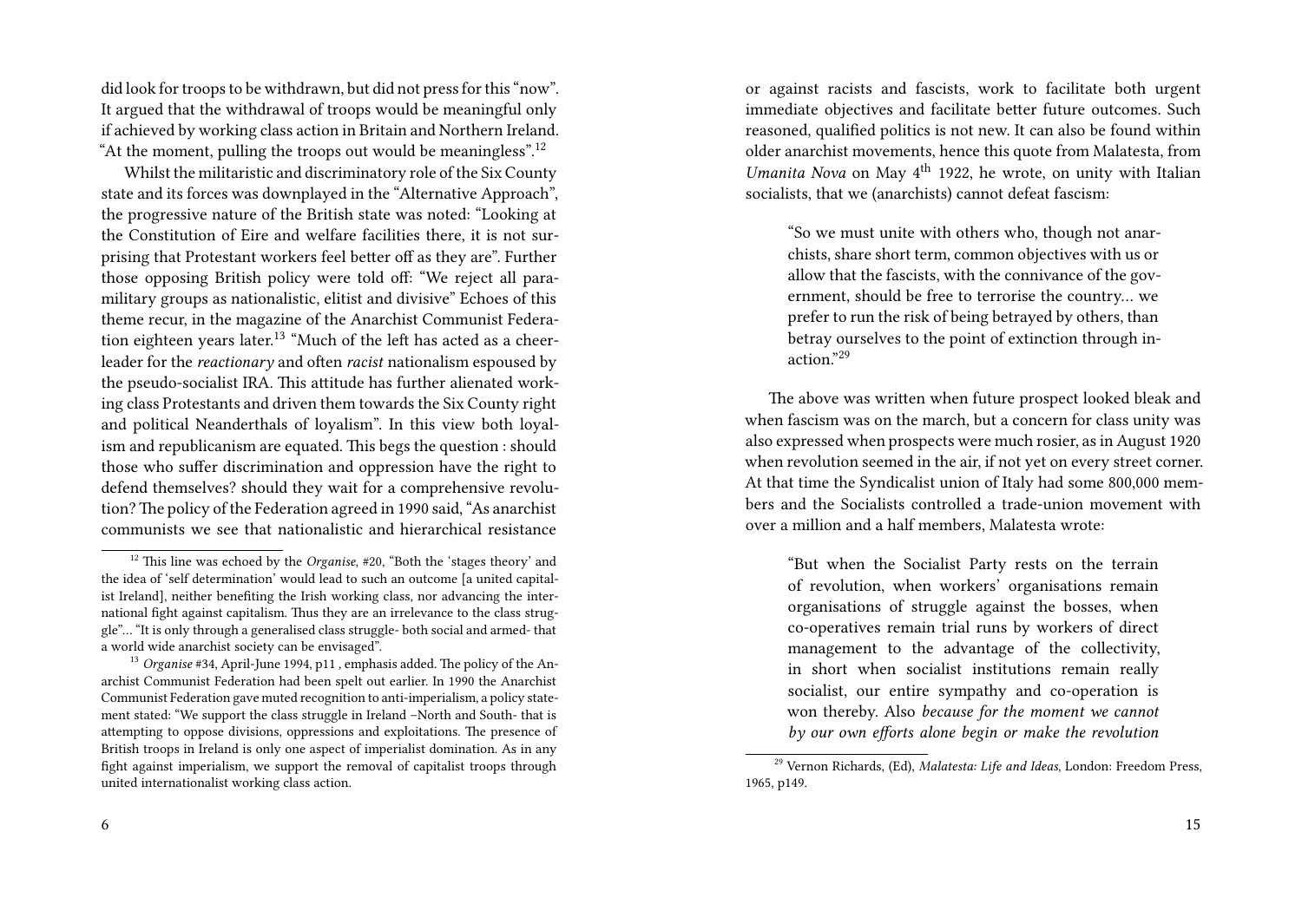did look for troops to be withdrawn, but did not press for this "now". It argued that the withdrawal of troops would be meaningful only if achieved by working class action in Britain and Northern Ireland. "At the moment, pulling the troops out would be meaningless".<sup>12</sup>

Whilst the militaristic and discriminatory role of the Six County state and its forces was downplayed in the "Alternative Approach", the progressive nature of the British state was noted: "Looking at the Constitution of Eire and welfare facilities there, it is not surprising that Protestant workers feel better off as they are". Further those opposing British policy were told off: "We reject all paramilitary groups as nationalistic, elitist and divisive" Echoes of this theme recur, in the magazine of the Anarchist Communist Federation eighteen years later.<sup>13</sup> "Much of the left has acted as a cheerleader for the *reactionary* and often *racist* nationalism espoused by the pseudo-socialist IRA. This attitude has further alienated working class Protestants and driven them towards the Six County right and political Neanderthals of loyalism". In this view both loyalism and republicanism are equated. This begs the question : should those who suffer discrimination and oppression have the right to defend themselves? should they wait for a comprehensive revolution? The policy of the Federation agreed in 1990 said, "As anarchist communists we see that nationalistic and hierarchical resistance

6

or against racists and fascists, work to facilitate both urgent immediate objectives and facilitate better future outcomes. Such reasoned, qualified politics is not new. It can also be found within older anarchist movements, hence this quote from Malatesta, from *Umanita Nova* on May 4<sup>th</sup> 1922, he wrote, on unity with Italian socialists, that we (anarchists) cannot defeat fascism:

"So we must unite with others who, though not anarchists, share short term, common objectives with us or allow that the fascists, with the connivance of the government, should be free to terrorise the country… we prefer to run the risk of being betrayed by others, than betray ourselves to the point of extinction through inaction."<sup>29</sup>

The above was written when future prospect looked bleak and when fascism was on the march, but a concern for class unity was also expressed when prospects were much rosier, as in August 1920 when revolution seemed in the air, if not yet on every street corner. At that time the Syndicalist union of Italy had some 800,000 members and the Socialists controlled a trade-union movement with over a million and a half members, Malatesta wrote:

"But when the Socialist Party rests on the terrain of revolution, when workers' organisations remain organisations of struggle against the bosses, when co-operatives remain trial runs by workers of direct management to the advantage of the collectivity, in short when socialist institutions remain really socialist, our entire sympathy and co-operation is won thereby. Also *because for the moment we cannot by our own efforts alone begin or make the revolution*

<sup>&</sup>lt;sup>12</sup> This line was echoed by the *Organise*, #20, "Both the 'stages theory' and the idea of 'self determination' would lead to such an outcome [a united capitalist Ireland], neither benefiting the Irish working class, nor advancing the international fight against capitalism. Thus they are an irrelevance to the class struggle"… "It is only through a generalised class struggle- both social and armed- that a world wide anarchist society can be envisaged".

<sup>13</sup> *Organise* #34, April-June 1994, p11 *,* emphasis added. The policy of the Anarchist Communist Federation had been spelt out earlier. In 1990 the Anarchist Communist Federation gave muted recognition to anti-imperialism, a policy statement stated: "We support the class struggle in Ireland –North and South- that is attempting to oppose divisions, oppressions and exploitations. The presence of British troops in Ireland is only one aspect of imperialist domination. As in any fight against imperialism, we support the removal of capitalist troops through united internationalist working class action.

<sup>29</sup> Vernon Richards, (Ed), *Malatesta: Life and Ideas*, London: Freedom Press, 1965, p149.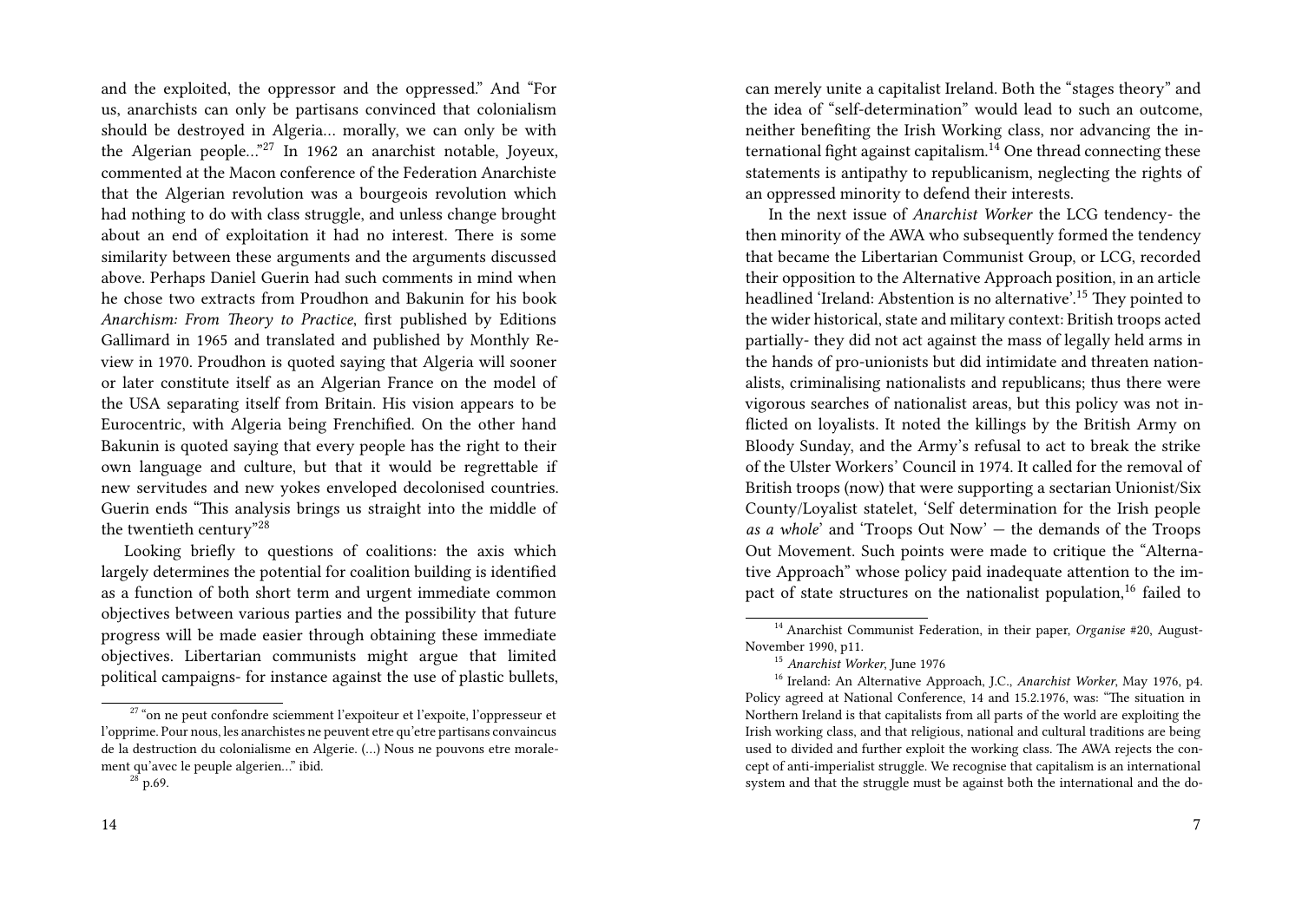and the exploited, the oppressor and the oppressed." And "For us, anarchists can only be partisans convinced that colonialism should be destroyed in Algeria… morally, we can only be with the Algerian people…"<sup>27</sup> In 1962 an anarchist notable, Joyeux, commented at the Macon conference of the Federation Anarchiste that the Algerian revolution was a bourgeois revolution which had nothing to do with class struggle, and unless change brought about an end of exploitation it had no interest. There is some similarity between these arguments and the arguments discussed above. Perhaps Daniel Guerin had such comments in mind when he chose two extracts from Proudhon and Bakunin for his book *Anarchism: From Theory to Practice*, first published by Editions Gallimard in 1965 and translated and published by Monthly Review in 1970. Proudhon is quoted saying that Algeria will sooner or later constitute itself as an Algerian France on the model of the USA separating itself from Britain. His vision appears to be Eurocentric, with Algeria being Frenchified. On the other hand Bakunin is quoted saying that every people has the right to their own language and culture, but that it would be regrettable if new servitudes and new yokes enveloped decolonised countries. Guerin ends "This analysis brings us straight into the middle of the twentieth century"<sup>28</sup>

Looking briefly to questions of coalitions: the axis which largely determines the potential for coalition building is identified as a function of both short term and urgent immediate common objectives between various parties and the possibility that future progress will be made easier through obtaining these immediate objectives. Libertarian communists might argue that limited political campaigns- for instance against the use of plastic bullets, can merely unite a capitalist Ireland. Both the "stages theory" and the idea of "self-determination" would lead to such an outcome, neither benefiting the Irish Working class, nor advancing the international fight against capitalism.<sup>14</sup> One thread connecting these statements is antipathy to republicanism, neglecting the rights of an oppressed minority to defend their interests.

In the next issue of *Anarchist Worker* the LCG tendency- the then minority of the AWA who subsequently formed the tendency that became the Libertarian Communist Group, or LCG, recorded their opposition to the Alternative Approach position, in an article headlined 'Ireland: Abstention is no alternative'.<sup>15</sup> They pointed to the wider historical, state and military context: British troops acted partially- they did not act against the mass of legally held arms in the hands of pro-unionists but did intimidate and threaten nationalists, criminalising nationalists and republicans; thus there were vigorous searches of nationalist areas, but this policy was not inflicted on loyalists. It noted the killings by the British Army on Bloody Sunday, and the Army's refusal to act to break the strike of the Ulster Workers' Council in 1974. It called for the removal of British troops (now) that were supporting a sectarian Unionist/Six County/Loyalist statelet, 'Self determination for the Irish people *as a whole*' and 'Troops Out Now' — the demands of the Troops Out Movement. Such points were made to critique the "Alternative Approach" whose policy paid inadequate attention to the impact of state structures on the nationalist population,<sup>16</sup> failed to

 $27$  "on ne peut confondre sciemment l'expoiteur et l'expoite, l'oppresseur et l'opprime. Pour nous, les anarchistes ne peuvent etre qu'etre partisans convaincus de la destruction du colonialisme en Algerie. (…) Nous ne pouvons etre moralement qu'avec le peuple algerien…" ibid.

 $28^{28}$  p.69.

<sup>14</sup> Anarchist Communist Federation, in their paper, *Organise* #20, August-November 1990, p11.

<sup>15</sup> *Anarchist Worker*, June 1976

<sup>16</sup> Ireland: An Alternative Approach, J.C., *Anarchist Worker*, May 1976, p4. Policy agreed at National Conference, 14 and 15.2.1976, was: "The situation in Northern Ireland is that capitalists from all parts of the world are exploiting the Irish working class, and that religious, national and cultural traditions are being used to divided and further exploit the working class. The AWA rejects the concept of anti-imperialist struggle. We recognise that capitalism is an international system and that the struggle must be against both the international and the do-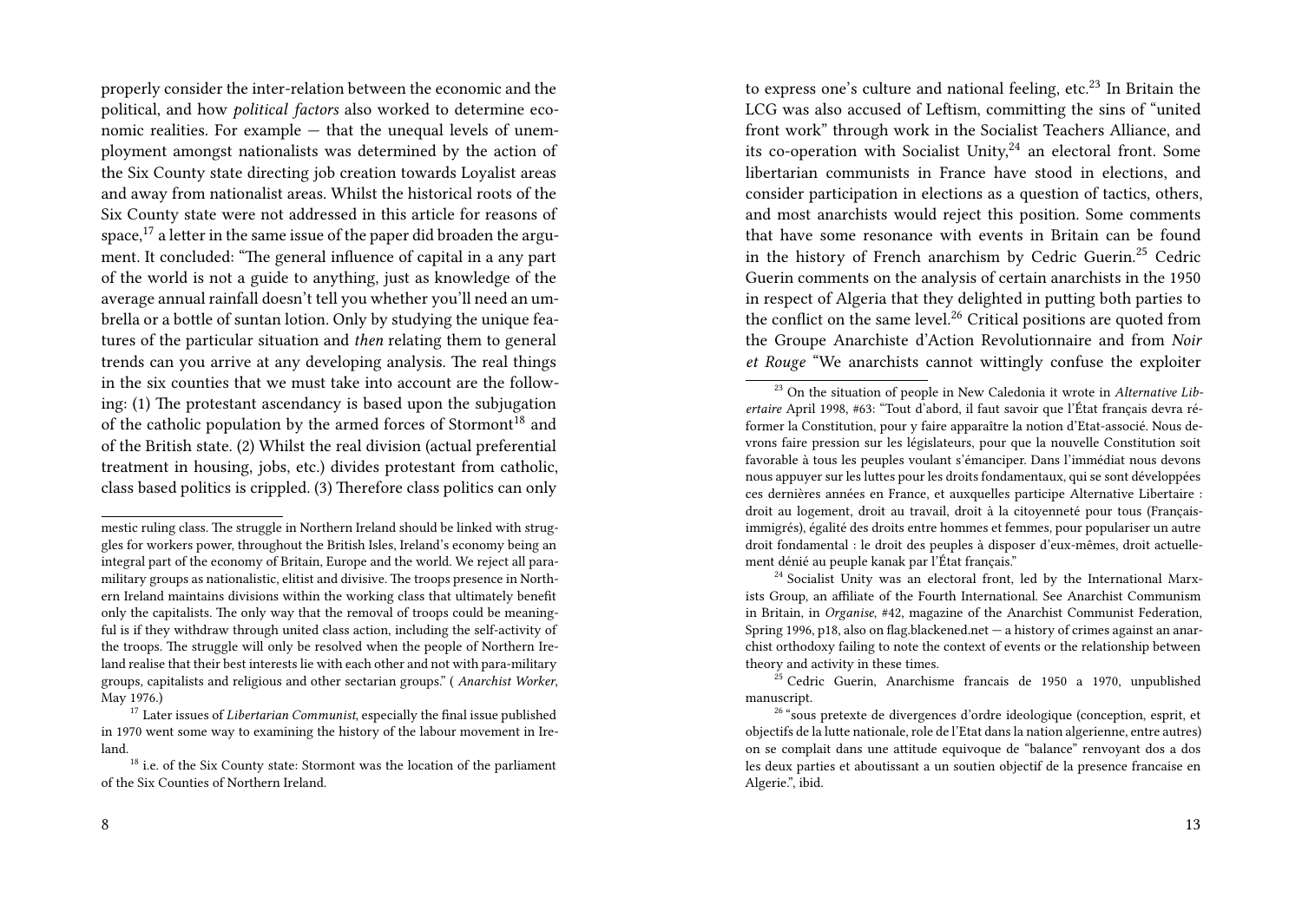properly consider the inter-relation between the economic and the political, and how *political factors* also worked to determine economic realities. For example — that the unequal levels of unemployment amongst nationalists was determined by the action of the Six County state directing job creation towards Loyalist areas and away from nationalist areas. Whilst the historical roots of the Six County state were not addressed in this article for reasons of space, $17$  a letter in the same issue of the paper did broaden the argument. It concluded: "The general influence of capital in a any part of the world is not a guide to anything, just as knowledge of the average annual rainfall doesn't tell you whether you'll need an umbrella or a bottle of suntan lotion. Only by studying the unique features of the particular situation and *then* relating them to general trends can you arrive at any developing analysis. The real things in the six counties that we must take into account are the following: (1) The protestant ascendancy is based upon the subjugation of the catholic population by the armed forces of Stormont<sup>18</sup> and of the British state. (2) Whilst the real division (actual preferential treatment in housing, jobs, etc.) divides protestant from catholic, class based politics is crippled. (3) Therefore class politics can only

to express one's culture and national feeling, etc. $^{23}$  In Britain the LCG was also accused of Leftism, committing the sins of "united front work" through work in the Socialist Teachers Alliance, and its co-operation with Socialist Unity, $24$  an electoral front. Some libertarian communists in France have stood in elections, and consider participation in elections as a question of tactics, others, and most anarchists would reject this position. Some comments that have some resonance with events in Britain can be found in the history of French anarchism by Cedric Guerin.<sup>25</sup> Cedric Guerin comments on the analysis of certain anarchists in the 1950 in respect of Algeria that they delighted in putting both parties to the conflict on the same level.<sup>26</sup> Critical positions are quoted from the Groupe Anarchiste d'Action Revolutionnaire and from *Noir et Rouge* "We anarchists cannot wittingly confuse the exploiter

 $^{24}$  Socialist Unity was an electoral front, led by the International Marxists Group, an affiliate of the Fourth International. See Anarchist Communism in Britain, in *Organise*, #42, magazine of the Anarchist Communist Federation, Spring 1996, p18, also on flag.blackened.net — a history of crimes against an anarchist orthodoxy failing to note the context of events or the relationship between theory and activity in these times.

mestic ruling class. The struggle in Northern Ireland should be linked with struggles for workers power, throughout the British Isles, Ireland's economy being an integral part of the economy of Britain, Europe and the world. We reject all paramilitary groups as nationalistic, elitist and divisive. The troops presence in Northern Ireland maintains divisions within the working class that ultimately benefit only the capitalists. The only way that the removal of troops could be meaningful is if they withdraw through united class action, including the self-activity of the troops. The struggle will only be resolved when the people of Northern Ireland realise that their best interests lie with each other and not with para-military groups, capitalists and religious and other sectarian groups." ( *Anarchist Worker*, May 1976.)

<sup>17</sup> Later issues of *Libertarian Communist*, especially the final issue published in 1970 went some way to examining the history of the labour movement in Ireland.

<sup>&</sup>lt;sup>18</sup> i.e. of the Six County state: Stormont was the location of the parliament of the Six Counties of Northern Ireland.

<sup>23</sup> On the situation of people in New Caledonia it wrote in *Alternative Libertaire* April 1998, #63: "Tout d'abord, il faut savoir que l'État français devra réformer la Constitution, pour y faire apparaître la notion d'Etat-associé. Nous devrons faire pression sur les législateurs, pour que la nouvelle Constitution soit favorable à tous les peuples voulant s'émanciper. Dans l'immédiat nous devons nous appuyer sur les luttes pour les droits fondamentaux, qui se sont développées ces dernières années en France, et auxquelles participe Alternative Libertaire : droit au logement, droit au travail, droit à la citoyenneté pour tous (Françaisimmigrés), égalité des droits entre hommes et femmes, pour populariser un autre droit fondamental : le droit des peuples à disposer d'eux-mêmes, droit actuellement dénié au peuple kanak par l'État français."

 $^{25}$  Cedric Guerin, Anarchisme francais de 1950 a 1970, unpublished manuscript.

<sup>&</sup>lt;sup>26</sup> "sous pretexte de divergences d'ordre ideologique (conception, esprit, et objectifs de la lutte nationale, role de l'Etat dans la nation algerienne, entre autres) on se complait dans une attitude equivoque de "balance" renvoyant dos a dos les deux parties et aboutissant a un soutien objectif de la presence francaise en Algerie.", ibid.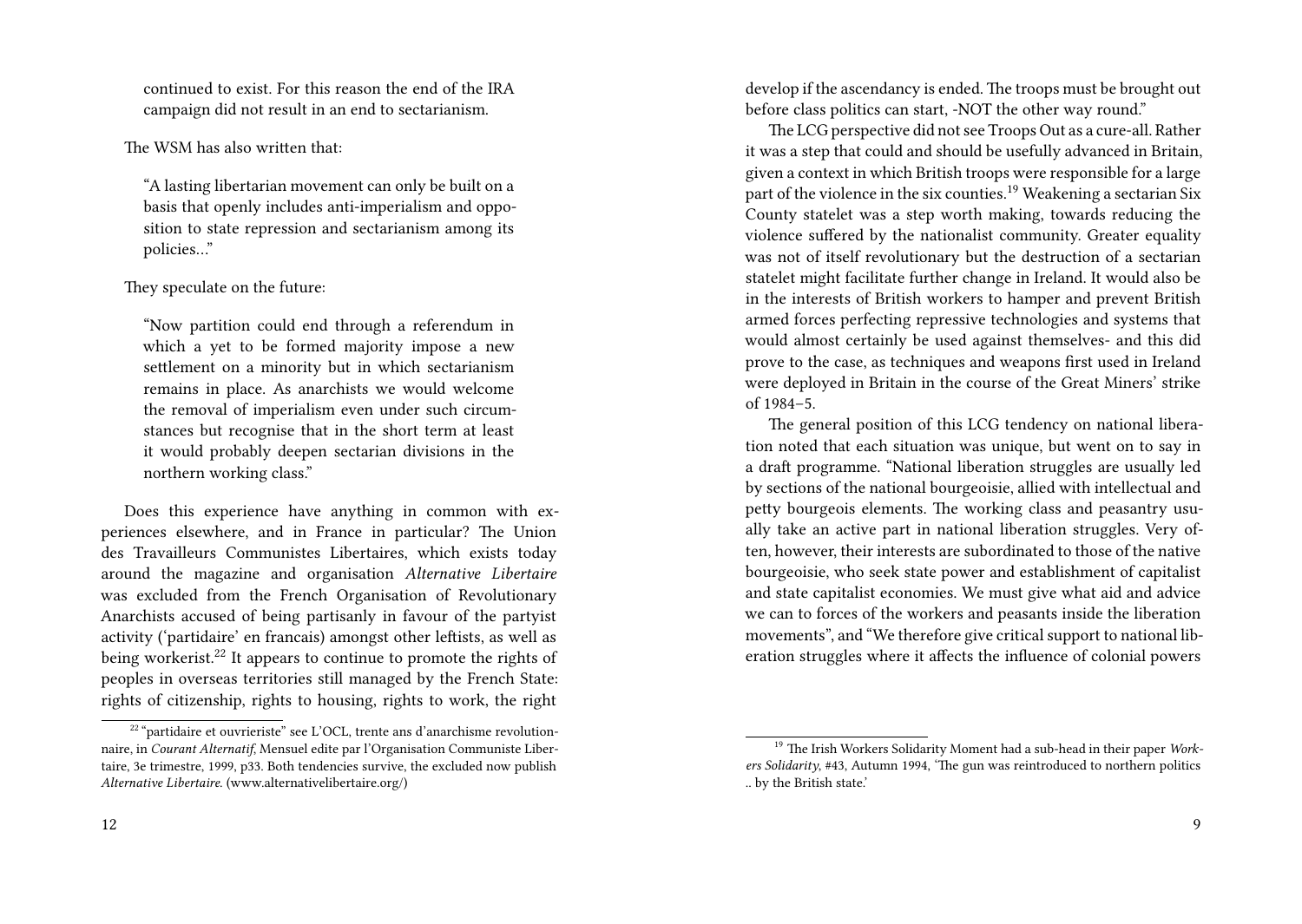continued to exist. For this reason the end of the IRA campaign did not result in an end to sectarianism.

## The WSM has also written that:

"A lasting libertarian movement can only be built on a basis that openly includes anti-imperialism and opposition to state repression and sectarianism among its policies…"

## They speculate on the future:

"Now partition could end through a referendum in which a yet to be formed majority impose a new settlement on a minority but in which sectarianism remains in place. As anarchists we would welcome the removal of imperialism even under such circumstances but recognise that in the short term at least it would probably deepen sectarian divisions in the northern working class."

Does this experience have anything in common with experiences elsewhere, and in France in particular? The Union des Travailleurs Communistes Libertaires, which exists today around the magazine and organisation *Alternative Libertaire* was excluded from the French Organisation of Revolutionary Anarchists accused of being partisanly in favour of the partyist activity ('partidaire' en francais) amongst other leftists, as well as being workerist.<sup>22</sup> It appears to continue to promote the rights of peoples in overseas territories still managed by the French State: rights of citizenship, rights to housing, rights to work, the right develop if the ascendancy is ended. The troops must be brought out before class politics can start, -NOT the other way round."

The LCG perspective did not see Troops Out as a cure-all. Rather it was a step that could and should be usefully advanced in Britain, given a context in which British troops were responsible for a large part of the violence in the six counties.<sup>19</sup> Weakening a sectarian Six County statelet was a step worth making, towards reducing the violence suffered by the nationalist community. Greater equality was not of itself revolutionary but the destruction of a sectarian statelet might facilitate further change in Ireland. It would also be in the interests of British workers to hamper and prevent British armed forces perfecting repressive technologies and systems that would almost certainly be used against themselves- and this did prove to the case, as techniques and weapons first used in Ireland were deployed in Britain in the course of the Great Miners' strike of 1984–5.

The general position of this LCG tendency on national liberation noted that each situation was unique, but went on to say in a draft programme. "National liberation struggles are usually led by sections of the national bourgeoisie, allied with intellectual and petty bourgeois elements. The working class and peasantry usually take an active part in national liberation struggles. Very often, however, their interests are subordinated to those of the native bourgeoisie, who seek state power and establishment of capitalist and state capitalist economies. We must give what aid and advice we can to forces of the workers and peasants inside the liberation movements", and "We therefore give critical support to national liberation struggles where it affects the influence of colonial powers

<sup>&</sup>lt;sup>22</sup> "partidaire et ouvrieriste" see L'OCL, trente ans d'anarchisme revolutionnaire, in *Courant Alternatif*, Mensuel edite par l'Organisation Communiste Libertaire, 3e trimestre, 1999, p33. Both tendencies survive, the excluded now publish *Alternative Libertaire*. (www.alternativelibertaire.org/)

<sup>19</sup> The Irish Workers Solidarity Moment had a sub-head in their paper *Workers Solidarity*, #43, Autumn 1994, 'The gun was reintroduced to northern politics .. by the British state.'